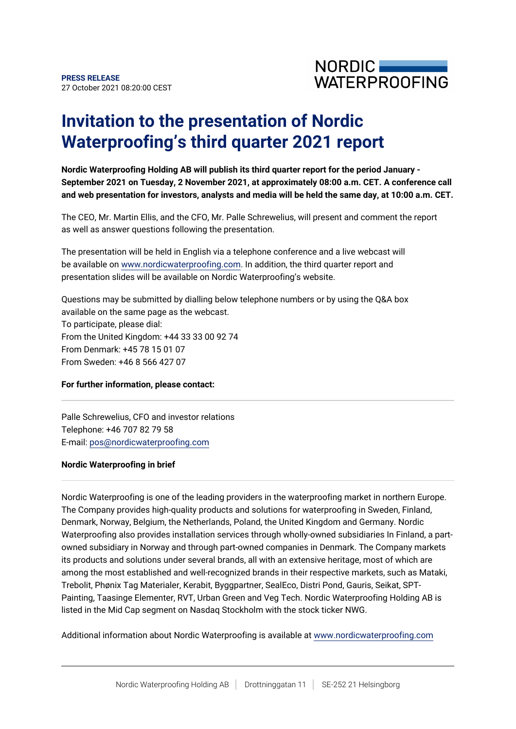

## **Invitation to the presentation of Nordic Waterproofing's third quarter 2021 report**

**Nordic Waterproofing Holding AB will publish its third quarter report for the period January - September 2021 on Tuesday, 2 November 2021, at approximately 08:00 a.m. CET. A conference call and web presentation for investors, analysts and media will be held the same day, at 10:00 a.m. CET.**

The CEO, Mr. Martin Ellis, and the CFO, Mr. Palle Schrewelius, will present and comment the report as well as answer questions following the presentation.

The presentation will be held in English via a telephone conference and a live webcast will be available on [www.nordicwaterproofing.com.](http://www.nordicwaterproofing.com) In addition, the third quarter report and presentation slides will be available on Nordic Waterproofing's website.

Questions may be submitted by dialling below telephone numbers or by using the Q&A box available on the same page as the webcast.

To participate, please dial: From the United Kingdom: +44 33 33 00 92 74 From Denmark: +45 78 15 01 07 From Sweden: +46 8 566 427 07

## **For further information, please contact:**

Palle Schrewelius, CFO and investor relations Telephone: +46 707 82 79 58 E-mail: pos@nordicwaterproofing.com

## **Nordic Waterproofing in brief**

Nordic Waterproofing is one of the leading providers in the waterproofing market in northern Europe. The Company provides high-quality products and solutions for waterproofing in Sweden, Finland, Denmark, Norway, Belgium, the Netherlands, Poland, the United Kingdom and Germany. Nordic Waterproofing also provides installation services through wholly-owned subsidiaries In Finland, a partowned subsidiary in Norway and through part-owned companies in Denmark. The Company markets its products and solutions under several brands, all with an extensive heritage, most of which are among the most established and well-recognized brands in their respective markets, such as Mataki, Trebolit, Phønix Tag Materialer, Kerabit, Byggpartner, SealEco, Distri Pond, Gauris, Seikat, SPT-Painting, Taasinge Elementer, RVT, Urban Green and Veg Tech. Nordic Waterproofing Holding AB is listed in the Mid Cap segment on Nasdaq Stockholm with the stock ticker NWG.

Additional information about Nordic Waterproofing is available at [www.nordicwaterproofing.com](http://www.nordicwaterproofing.com/)